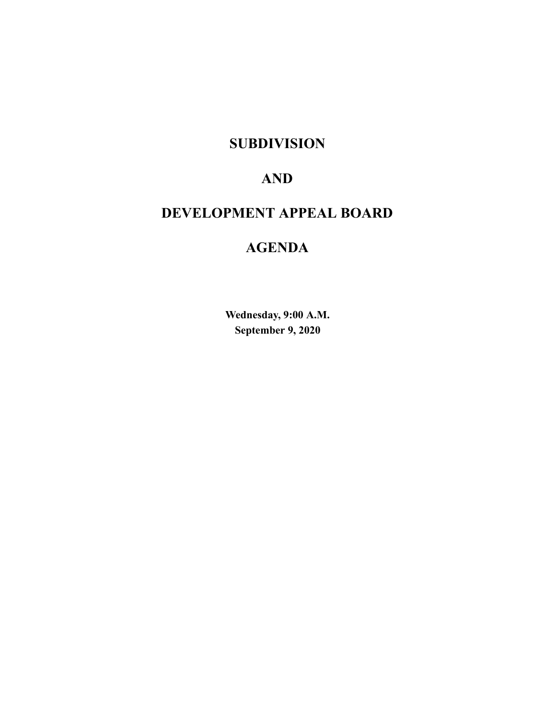## **SUBDIVISION**

# **AND**

# **DEVELOPMENT APPEAL BOARD**

# **AGENDA**

**Wednesday, 9:00 A.M. September 9, 2020**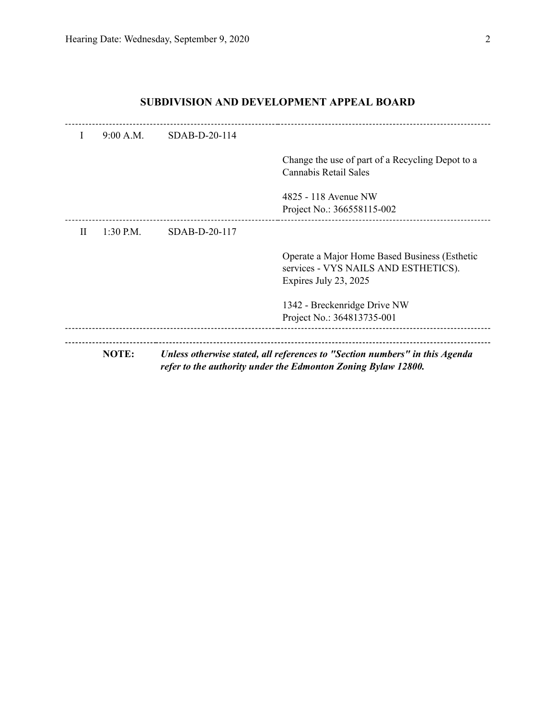| $\mathbf{I}$ | 9:00 A.M.    | $SDAB-D-20-114$ |                                                                                                                                              |
|--------------|--------------|-----------------|----------------------------------------------------------------------------------------------------------------------------------------------|
|              |              |                 | Change the use of part of a Recycling Depot to a<br>Cannabis Retail Sales                                                                    |
|              |              |                 | 4825 - 118 Avenue NW<br>Project No.: 366558115-002                                                                                           |
| H            | $1:30$ P.M.  | $SDAB-D-20-117$ |                                                                                                                                              |
|              |              |                 | Operate a Major Home Based Business (Esthetic<br>services - VYS NAILS AND ESTHETICS).<br>Expires July 23, 2025                               |
|              |              |                 | 1342 - Breckenridge Drive NW<br>Project No.: 364813735-001                                                                                   |
|              | <b>NOTE:</b> |                 | Unless otherwise stated, all references to "Section numbers" in this Agenda<br>refer to the authority under the Edmonton Zoning Bylaw 12800. |

## **SUBDIVISION AND DEVELOPMENT APPEAL BOARD**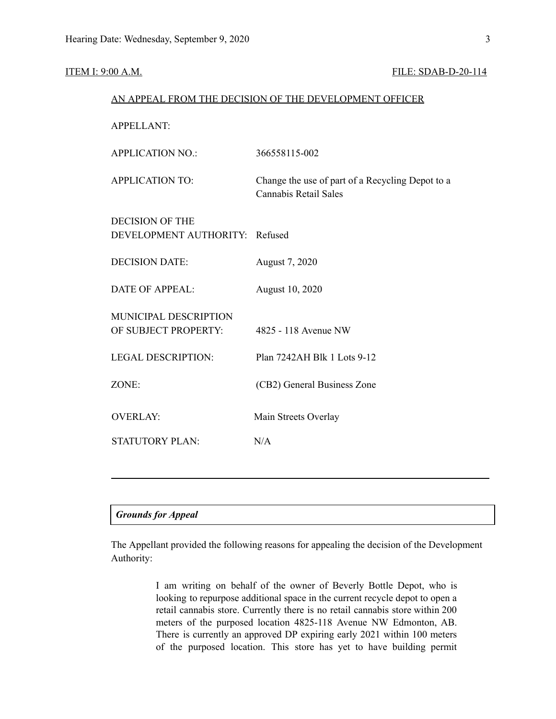#### **ITEM I: 9:00 A.M. FILE: SDAB-D-20-114**

| AN APPEAL FROM THE DECISION OF THE DEVELOPMENT OFFICER   |                                                                           |  |  |  |
|----------------------------------------------------------|---------------------------------------------------------------------------|--|--|--|
| <b>APPELLANT:</b>                                        |                                                                           |  |  |  |
| <b>APPLICATION NO.:</b>                                  | 366558115-002                                                             |  |  |  |
| <b>APPLICATION TO:</b>                                   | Change the use of part of a Recycling Depot to a<br>Cannabis Retail Sales |  |  |  |
| <b>DECISION OF THE</b><br>DEVELOPMENT AUTHORITY: Refused |                                                                           |  |  |  |
| <b>DECISION DATE:</b>                                    | August 7, 2020                                                            |  |  |  |
| <b>DATE OF APPEAL:</b>                                   | August 10, 2020                                                           |  |  |  |
| MUNICIPAL DESCRIPTION<br>OF SUBJECT PROPERTY:            | 4825 - 118 Avenue NW                                                      |  |  |  |
| <b>LEGAL DESCRIPTION:</b>                                | Plan 7242AH Blk 1 Lots 9-12                                               |  |  |  |
| ZONE:                                                    | (CB2) General Business Zone                                               |  |  |  |
| <b>OVERLAY:</b>                                          | Main Streets Overlay                                                      |  |  |  |
| <b>STATUTORY PLAN:</b>                                   | N/A                                                                       |  |  |  |
|                                                          |                                                                           |  |  |  |

### *Grounds for Appeal*

The Appellant provided the following reasons for appealing the decision of the Development Authority:

> I am writing on behalf of the owner of Beverly Bottle Depot, who is looking to repurpose additional space in the current recycle depot to open a retail cannabis store. Currently there is no retail cannabis store within 200 meters of the purposed location 4825-118 Avenue NW Edmonton, AB. There is currently an approved DP expiring early 2021 within 100 meters of the purposed location. This store has yet to have building permit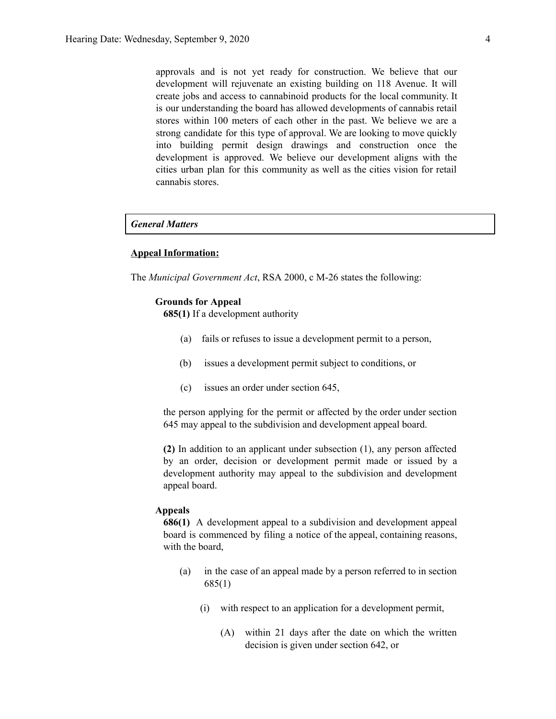approvals and is not yet ready for construction. We believe that our development will rejuvenate an existing building on 118 Avenue. It will create jobs and access to cannabinoid products for the local community. It is our understanding the board has allowed developments of cannabis retail stores within 100 meters of each other in the past. We believe we are a strong candidate for this type of approval. We are looking to move quickly into building permit design drawings and construction once the development is approved. We believe our development aligns with the cities urban plan for this community as well as the cities vision for retail cannabis stores.

### *General Matters*

#### **Appeal Information:**

The *Municipal Government Act*, RSA 2000, c M-26 states the following:

#### **Grounds for Appeal**

**685(1)** If a development authority

- (a) fails or refuses to issue a development permit to a person,
- (b) issues a development permit subject to conditions, or
- (c) issues an order under section 645,

the person applying for the permit or affected by the order under section 645 may appeal to the subdivision and development appeal board.

**(2)** In addition to an applicant under subsection (1), any person affected by an order, decision or development permit made or issued by a development authority may appeal to the subdivision and development appeal board.

#### **Appeals**

**686(1)** A development appeal to a subdivision and development appeal board is commenced by filing a notice of the appeal, containing reasons, with the board,

- (a) in the case of an appeal made by a person referred to in section 685(1)
	- (i) with respect to an application for a development permit,
		- (A) within 21 days after the date on which the written decision is given under section 642, or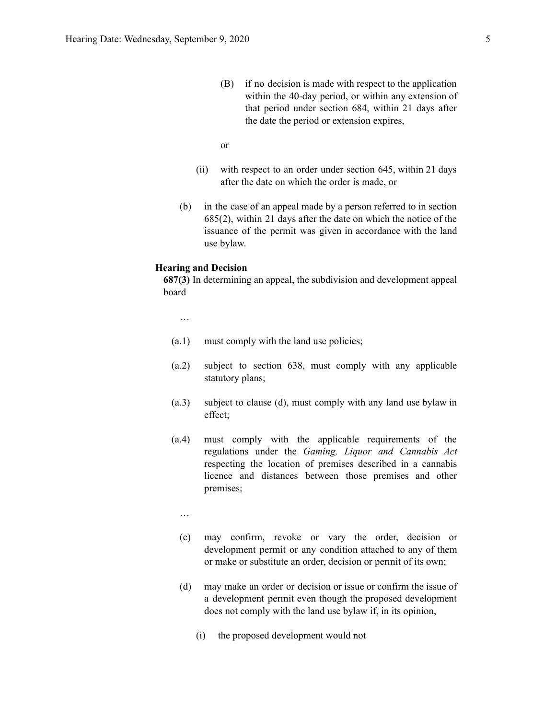- (B) if no decision is made with respect to the application within the 40-day period, or within any extension of that period under section 684, within 21 days after the date the period or extension expires,
- or
- (ii) with respect to an order under section 645, within 21 days after the date on which the order is made, or
- (b) in the case of an appeal made by a person referred to in section 685(2), within 21 days after the date on which the notice of the issuance of the permit was given in accordance with the land use bylaw.

#### **Hearing and Decision**

**687(3)** In determining an appeal, the subdivision and development appeal board

…

- (a.1) must comply with the land use policies;
- (a.2) subject to section 638, must comply with any applicable statutory plans;
- (a.3) subject to clause (d), must comply with any land use bylaw in effect;
- (a.4) must comply with the applicable requirements of the regulations under the *Gaming, Liquor and Cannabis Act* respecting the location of premises described in a cannabis licence and distances between those premises and other premises;
	- …
	- (c) may confirm, revoke or vary the order, decision or development permit or any condition attached to any of them or make or substitute an order, decision or permit of its own;
	- (d) may make an order or decision or issue or confirm the issue of a development permit even though the proposed development does not comply with the land use bylaw if, in its opinion,
		- (i) the proposed development would not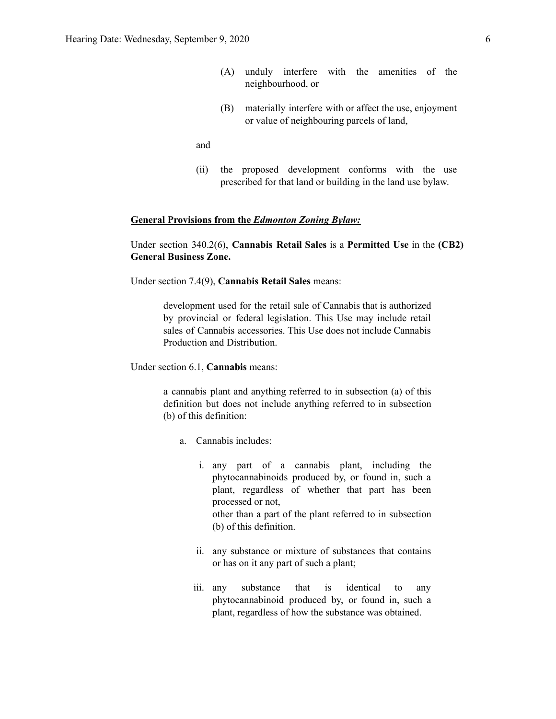- (A) unduly interfere with the amenities of the neighbourhood, or
- (B) materially interfere with or affect the use, enjoyment or value of neighbouring parcels of land,

and

(ii) the proposed development conforms with the use prescribed for that land or building in the land use bylaw.

#### **General Provisions from the** *Edmonton Zoning Bylaw:*

Under section 340.2(6), **Cannabis Retail Sales** is a **Permitted Use** in the **(CB2) General Business Zone.**

Under section 7.4(9), **Cannabis Retail Sales** means:

development used for the retail sale of Cannabis that is authorized by provincial or federal legislation. This Use may include retail sales of Cannabis accessories. This Use does not include Cannabis Production and Distribution.

Under section 6.1, **Cannabis** means:

a cannabis plant and anything referred to in subsection (a) of this definition but does not include anything referred to in subsection (b) of this definition:

- a. Cannabis includes:
	- i. any part of a cannabis plant, including the phytocannabinoids produced by, or found in, such a plant, regardless of whether that part has been processed or not, other than a part of the plant referred to in subsection (b) of this definition.
	- ii. any substance or mixture of substances that contains or has on it any part of such a plant;
	- iii. any substance that is identical to any phytocannabinoid produced by, or found in, such a plant, regardless of how the substance was obtained.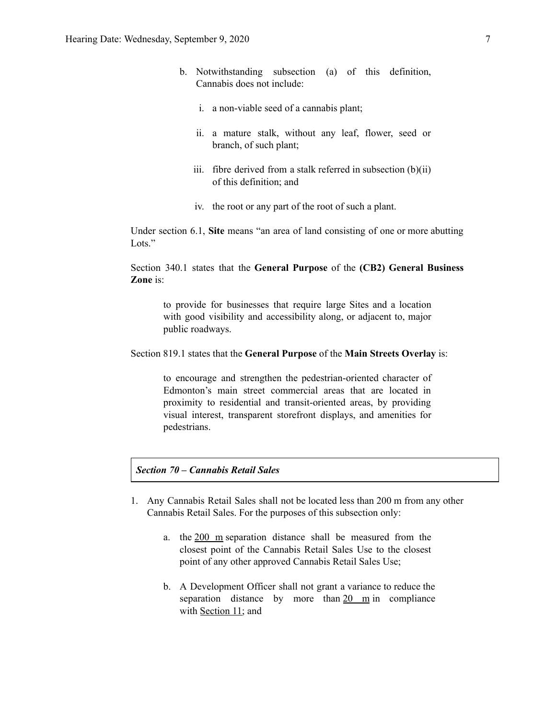- b. Notwithstanding subsection (a) of this definition, Cannabis does not include:
	- i. a non-viable seed of a cannabis plant;
	- ii. a mature stalk, without any leaf, flower, seed or branch, of such plant;
	- iii. fibre derived from a stalk referred in subsection  $(b)(ii)$ of this definition; and
	- iv. the root or any part of the root of such a plant.

Under section 6.1, **Site** means "an area of land consisting of one or more abutting Lots."

Section 340.1 states that the **General Purpose** of the **(CB2) General Business Zone** is:

to provide for businesses that require large Sites and a location with good visibility and accessibility along, or adjacent to, major public roadways.

#### Section 819.1 states that the **General Purpose** of the **Main Streets Overlay** is:

to encourage and strengthen the pedestrian-oriented character of Edmonton's main street commercial areas that are located in proximity to residential and transit-oriented areas, by providing visual interest, transparent storefront displays, and amenities for pedestrians.

#### *Section 70 – Cannabis Retail Sales*

- 1. Any Cannabis Retail Sales shall not be located less than 200 m from any other Cannabis Retail Sales. For the purposes of this subsection only:
	- a. the 200 m separation distance shall be measured from the closest point of the Cannabis Retail Sales Use to the closest point of any other approved Cannabis Retail Sales Use;
	- b. A Development Officer shall not grant a variance to reduce the separation distance by more than 20 m in compliance with [Section](https://webdocs.edmonton.ca/InfraPlan/zoningbylaw/ZoningBylaw/Part1/Administrative/11__Authority_and_Responsibility_of_the_Development_Officer.htm) 11; and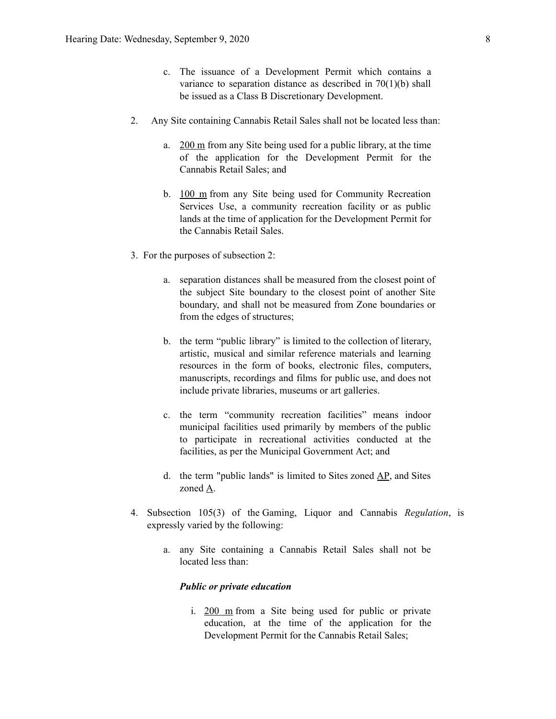- c. The issuance of a Development Permit which contains a variance to separation distance as described in  $70(1)(b)$  shall be issued as a Class B Discretionary Development.
- 2. Any Site containing Cannabis Retail Sales shall not be located less than:
	- a.  $200 \text{ m}$  from any Site being used for a public library, at the time of the application for the Development Permit for the Cannabis Retail Sales; and
	- b. 100 m from any Site being used for Community Recreation Services Use, a community recreation facility or as public lands at the time of application for the Development Permit for the Cannabis Retail Sales.
- 3. For the purposes of subsection 2:
	- a. separation distances shall be measured from the closest point of the subject Site boundary to the closest point of another Site boundary, and shall not be measured from Zone boundaries or from the edges of structures;
	- b. the term "public library" is limited to the collection of literary, artistic, musical and similar reference materials and learning resources in the form of books, electronic files, computers, manuscripts, recordings and films for public use, and does not include private libraries, museums or art galleries.
	- c. the term "community recreation facilities" means indoor municipal facilities used primarily by members of the public to participate in recreational activities conducted at the facilities, as per the Municipal Government Act; and
	- d. the term "public lands" is limited to Sites zoned [AP](https://webdocs.edmonton.ca/InfraPlan/zoningbylaw/ZoningBylaw/Part2/Urban/530_(AP)_Public_Parks_Zone.htm), and Sites zoned [A.](https://webdocs.edmonton.ca/InfraPlan/zoningbylaw/ZoningBylaw/Part2/Urban/540_(A)_Metropolitan_Recreation_Zone.htm)
- 4. Subsection 105(3) of the Gaming, Liquor and Cannabis *Regulation*, is expressly varied by the following:
	- a. any Site containing a Cannabis Retail Sales shall not be located less than:

#### *Public or private education*

i. 200 m from a Site being used for public or private education, at the time of the application for the Development Permit for the Cannabis Retail Sales;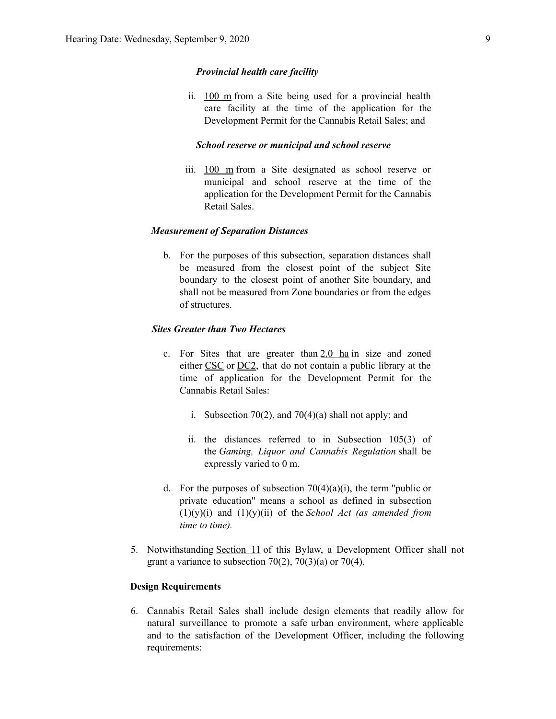#### *Provincial health care facility*

ii. 100 m from a Site being used for a provincial health care facility at the time of the application for the Development Permit for the Cannabis Retail Sales; and

#### *School reserve or municipal and school reserve*

iii. 100 m from a Site designated as school reserve or municipal and school reserve at the time of the application for the Development Permit for the Cannabis Retail Sales.

#### *Measurement of Separation Distances*

b. For the purposes of this subsection, separation distances shall be measured from the closest point of the subject Site boundary to the closest point of another Site boundary, and shall not be measured from Zone boundaries or from the edges of structures.

#### *Sites Greater than Two Hectares*

- c. For Sites that are greater than  $2.0$  ha in size and zoned either [CSC](https://webdocs.edmonton.ca/InfraPlan/zoningbylaw/ZoningBylaw/Part2/Commercial/320_(CSC)_Shopping_Centre_Zone.htm) or [DC2,](https://webdocs.edmonton.ca/InfraPlan/zoningbylaw/ZoningBylaw/Part2/Direct/720_(DC2)_Site_Specific_Development_Control_Provision.htm) that do not contain a public library at the time of application for the Development Permit for the Cannabis Retail Sales:
	- i. Subsection 70(2), and 70(4)(a) shall not apply; and
	- ii. the distances referred to in Subsection 105(3) of the *Gaming, Liquor and Cannabis Regulation* shall be expressly varied to 0 m.
- d. For the purposes of subsection  $70(4)(a)(i)$ , the term "public or private education" means a school as defined in subsection (1)(y)(i) and (1)(y)(ii) of the *School Act (as amended from time to time).*
- 5. Notwithstanding [Section](https://webdocs.edmonton.ca/InfraPlan/zoningbylaw/ZoningBylaw/Part1/Administrative/11__Authority_and_Responsibility_of_the_Development_Officer.htm) 11 of this Bylaw, a Development Officer shall not grant a variance to subsection  $70(2)$ ,  $70(3)(a)$  or  $70(4)$ .

#### **Design Requirements**

6. Cannabis Retail Sales shall include design elements that readily allow for natural surveillance to promote a safe urban environment, where applicable and to the satisfaction of the Development Officer, including the following requirements: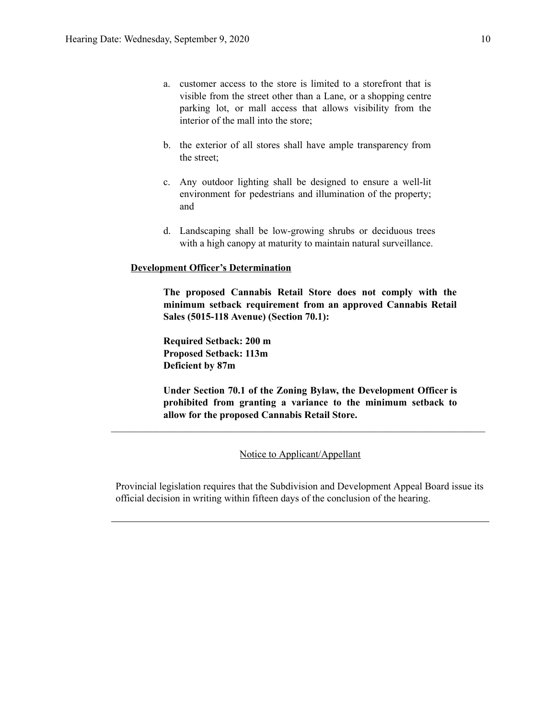- a. customer access to the store is limited to a storefront that is visible from the street other than a Lane, or a shopping centre parking lot, or mall access that allows visibility from the interior of the mall into the store;
- b. the exterior of all stores shall have ample transparency from the street;
- c. Any outdoor lighting shall be designed to ensure a well-lit environment for pedestrians and illumination of the property; and
- d. Landscaping shall be low-growing shrubs or deciduous trees with a high canopy at maturity to maintain natural surveillance.

#### **Development Officer's Determination**

**The proposed Cannabis Retail Store does not comply with the minimum setback requirement from an approved Cannabis Retail Sales (5015-118 Avenue) (Section 70.1):**

**Required Setback: 200 m Proposed Setback: 113m Deficient by 87m**

**Under Section 70.1 of the Zoning Bylaw, the Development Officer is prohibited from granting a variance to the minimum setback to allow for the proposed Cannabis Retail Store.**

Notice to Applicant/Appellant

 $\mathcal{L}_\text{max} = \frac{1}{2} \sum_{i=1}^n \mathcal{L}_\text{max} = \frac{1}{2} \sum_{i=1}^n \mathcal{L}_\text{max} = \frac{1}{2} \sum_{i=1}^n \mathcal{L}_\text{max} = \frac{1}{2} \sum_{i=1}^n \mathcal{L}_\text{max} = \frac{1}{2} \sum_{i=1}^n \mathcal{L}_\text{max} = \frac{1}{2} \sum_{i=1}^n \mathcal{L}_\text{max} = \frac{1}{2} \sum_{i=1}^n \mathcal{L}_\text{max} = \frac{1}{2} \sum_{i=$ 

Provincial legislation requires that the Subdivision and Development Appeal Board issue its official decision in writing within fifteen days of the conclusion of the hearing.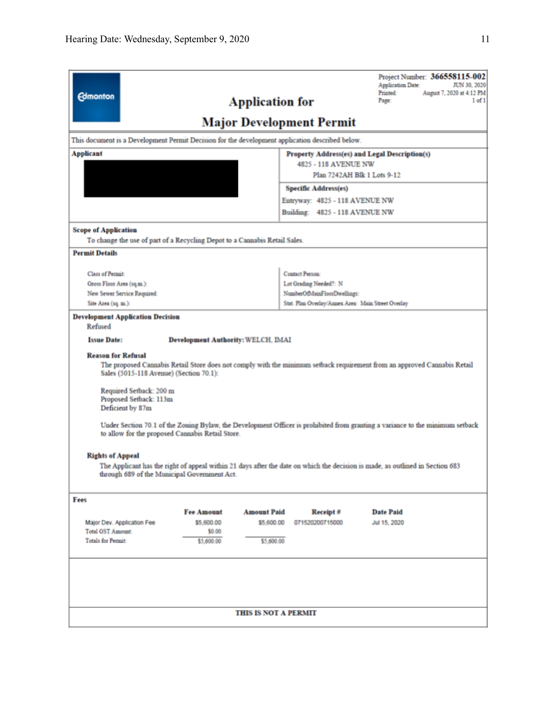| <b>Edmonton</b>                                                                                                                                                                                                                                                                                                                                                                                                                                                |                                                                                                 | <b>Application for</b>      |                                                    | Project Number: 366558115-002<br>JUN 30, 2020<br><b>Application Date:</b><br><b>Printed:</b><br>August 7, 2020 at 4:12 PM<br>Page:<br>$1$ of $1$ |  |  |  |
|----------------------------------------------------------------------------------------------------------------------------------------------------------------------------------------------------------------------------------------------------------------------------------------------------------------------------------------------------------------------------------------------------------------------------------------------------------------|-------------------------------------------------------------------------------------------------|-----------------------------|----------------------------------------------------|--------------------------------------------------------------------------------------------------------------------------------------------------|--|--|--|
| <b>Major Development Permit</b>                                                                                                                                                                                                                                                                                                                                                                                                                                |                                                                                                 |                             |                                                    |                                                                                                                                                  |  |  |  |
|                                                                                                                                                                                                                                                                                                                                                                                                                                                                | This document is a Development Permit Decision for the development application described below. |                             |                                                    |                                                                                                                                                  |  |  |  |
| <b>Applicant</b><br>Property Address(es) and Legal Description(s)                                                                                                                                                                                                                                                                                                                                                                                              |                                                                                                 |                             |                                                    |                                                                                                                                                  |  |  |  |
|                                                                                                                                                                                                                                                                                                                                                                                                                                                                | 4825 - 118 AVENUE NW<br>Plan 7242AH Blk 1 Lots 9-12                                             |                             |                                                    |                                                                                                                                                  |  |  |  |
|                                                                                                                                                                                                                                                                                                                                                                                                                                                                |                                                                                                 |                             |                                                    |                                                                                                                                                  |  |  |  |
|                                                                                                                                                                                                                                                                                                                                                                                                                                                                | <b>Specific Address(es)</b>                                                                     |                             |                                                    |                                                                                                                                                  |  |  |  |
|                                                                                                                                                                                                                                                                                                                                                                                                                                                                |                                                                                                 |                             | Entryway: 4825 - 118 AVENUE NW                     |                                                                                                                                                  |  |  |  |
|                                                                                                                                                                                                                                                                                                                                                                                                                                                                |                                                                                                 |                             | Building: 4825 - 118 AVENUE NW                     |                                                                                                                                                  |  |  |  |
| <b>Scope of Application</b>                                                                                                                                                                                                                                                                                                                                                                                                                                    |                                                                                                 |                             |                                                    |                                                                                                                                                  |  |  |  |
| To change the use of part of a Recycling Depot to a Cannabis Retail Sales.                                                                                                                                                                                                                                                                                                                                                                                     |                                                                                                 |                             |                                                    |                                                                                                                                                  |  |  |  |
| <b>Permit Details</b>                                                                                                                                                                                                                                                                                                                                                                                                                                          |                                                                                                 |                             |                                                    |                                                                                                                                                  |  |  |  |
| <b>Class of Permit:</b>                                                                                                                                                                                                                                                                                                                                                                                                                                        |                                                                                                 |                             | <b>Contact Person:</b>                             |                                                                                                                                                  |  |  |  |
| Gross Floor Area (sq.m.):                                                                                                                                                                                                                                                                                                                                                                                                                                      |                                                                                                 |                             | Lot Grading Needed?: N                             |                                                                                                                                                  |  |  |  |
| New Sewer Service Required:                                                                                                                                                                                                                                                                                                                                                                                                                                    |                                                                                                 |                             | NumberOfMainFloorDwellings:                        |                                                                                                                                                  |  |  |  |
| Site Area (sq. m.):                                                                                                                                                                                                                                                                                                                                                                                                                                            |                                                                                                 |                             | Stat. Plan Overlay/Annex Area: Main Street Overlay |                                                                                                                                                  |  |  |  |
| <b>Development Application Decision</b><br>Refused                                                                                                                                                                                                                                                                                                                                                                                                             |                                                                                                 |                             |                                                    |                                                                                                                                                  |  |  |  |
| <b>Issue Date:</b>                                                                                                                                                                                                                                                                                                                                                                                                                                             | Development Authority: WELCH, IMAI                                                              |                             |                                                    |                                                                                                                                                  |  |  |  |
| <b>Reason for Refusal</b><br>The proposed Cannabis Retail Store does not comply with the minimum setback requirement from an approved Cannabis Retail<br>Sales (5015-118 Avenue) (Section 70.1):<br>Required Setback: 200 m<br>Proposed Setback: 113m<br>Deficient by 87m<br>Under Section 70.1 of the Zoning Bylaw, the Development Officer is prohibited from granting a variance to the minimum setback<br>to allow for the proposed Cannabis Retail Store. |                                                                                                 |                             |                                                    |                                                                                                                                                  |  |  |  |
| <b>Rights of Appeal</b>                                                                                                                                                                                                                                                                                                                                                                                                                                        |                                                                                                 |                             |                                                    |                                                                                                                                                  |  |  |  |
| The Applicant has the right of appeal within 21 days after the date on which the decision is made, as outlined in Section 683<br>through 689 of the Municipal Government Act.                                                                                                                                                                                                                                                                                  |                                                                                                 |                             |                                                    |                                                                                                                                                  |  |  |  |
| Fees                                                                                                                                                                                                                                                                                                                                                                                                                                                           |                                                                                                 |                             |                                                    |                                                                                                                                                  |  |  |  |
|                                                                                                                                                                                                                                                                                                                                                                                                                                                                | <b>Fee Amount</b>                                                                               | <b>Amount Paid</b>          | Receipt#                                           | <b>Date Paid</b>                                                                                                                                 |  |  |  |
| Major Dev. Application Fee                                                                                                                                                                                                                                                                                                                                                                                                                                     | \$5,600.00                                                                                      | \$5,600.00                  | 071520200715000                                    | Jul 15, 2020                                                                                                                                     |  |  |  |
| <b>Total GST Amount:</b>                                                                                                                                                                                                                                                                                                                                                                                                                                       | \$0.00                                                                                          |                             |                                                    |                                                                                                                                                  |  |  |  |
| <b>Totals for Permit:</b>                                                                                                                                                                                                                                                                                                                                                                                                                                      | \$5,600.00                                                                                      | \$5,600.00                  |                                                    |                                                                                                                                                  |  |  |  |
|                                                                                                                                                                                                                                                                                                                                                                                                                                                                |                                                                                                 |                             |                                                    |                                                                                                                                                  |  |  |  |
|                                                                                                                                                                                                                                                                                                                                                                                                                                                                |                                                                                                 | <b>THIS IS NOT A PERMIT</b> |                                                    |                                                                                                                                                  |  |  |  |
|                                                                                                                                                                                                                                                                                                                                                                                                                                                                |                                                                                                 |                             |                                                    |                                                                                                                                                  |  |  |  |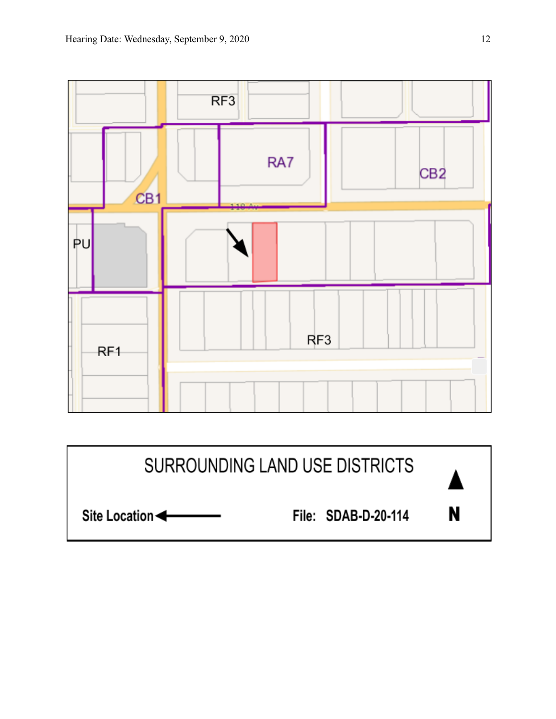

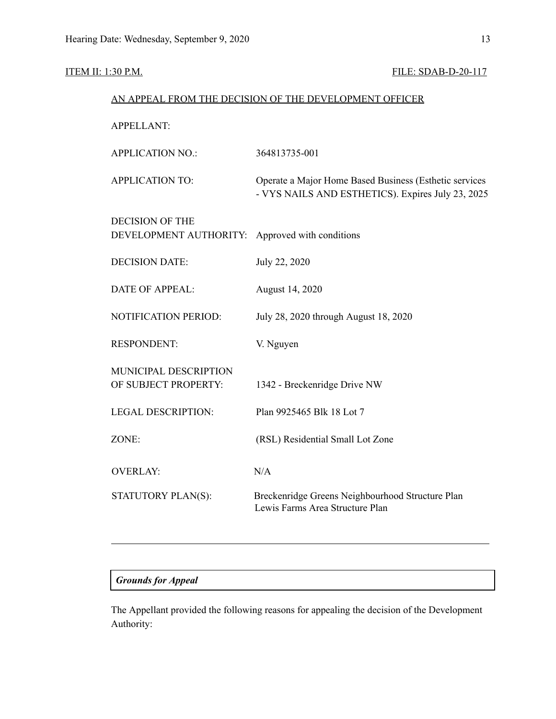## **ITEM II: 1:30 P.M. FILE: SDAB-D-20-117**

| AN APPEAL FROM THE DECISION OF THE DEVELOPMENT OFFICER |                                                                                                             |  |  |  |
|--------------------------------------------------------|-------------------------------------------------------------------------------------------------------------|--|--|--|
| <b>APPELLANT:</b>                                      |                                                                                                             |  |  |  |
| <b>APPLICATION NO.:</b>                                | 364813735-001                                                                                               |  |  |  |
| <b>APPLICATION TO:</b>                                 | Operate a Major Home Based Business (Esthetic services<br>- VYS NAILS AND ESTHETICS). Expires July 23, 2025 |  |  |  |
| <b>DECISION OF THE</b><br>DEVELOPMENT AUTHORITY:       | Approved with conditions                                                                                    |  |  |  |
| <b>DECISION DATE:</b>                                  | July 22, 2020                                                                                               |  |  |  |
| <b>DATE OF APPEAL:</b>                                 | August 14, 2020                                                                                             |  |  |  |
| NOTIFICATION PERIOD:                                   | July 28, 2020 through August 18, 2020                                                                       |  |  |  |
| <b>RESPONDENT:</b>                                     | V. Nguyen                                                                                                   |  |  |  |
| MUNICIPAL DESCRIPTION<br>OF SUBJECT PROPERTY:          | 1342 - Breckenridge Drive NW                                                                                |  |  |  |
| <b>LEGAL DESCRIPTION:</b>                              | Plan 9925465 Blk 18 Lot 7                                                                                   |  |  |  |
| ZONE:                                                  | (RSL) Residential Small Lot Zone                                                                            |  |  |  |
| <b>OVERLAY:</b>                                        | N/A                                                                                                         |  |  |  |
| STATUTORY PLAN(S):                                     | Breckenridge Greens Neighbourhood Structure Plan<br>Lewis Farms Area Structure Plan                         |  |  |  |

## *Grounds for Appeal*

The Appellant provided the following reasons for appealing the decision of the Development Authority: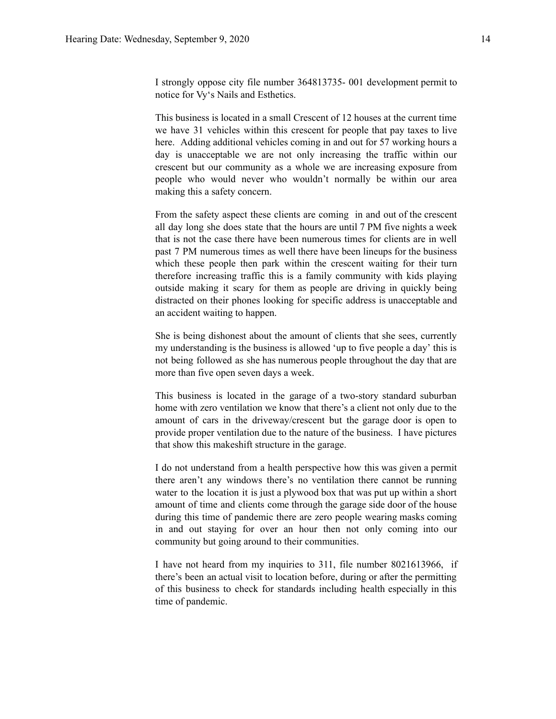I strongly oppose city file number 364813735- 001 development permit to notice for Vy's Nails and Esthetics.

This business is located in a small Crescent of 12 houses at the current time we have 31 vehicles within this crescent for people that pay taxes to live here. Adding additional vehicles coming in and out for 57 working hours a day is unacceptable we are not only increasing the traffic within our crescent but our community as a whole we are increasing exposure from people who would never who wouldn't normally be within our area making this a safety concern.

From the safety aspect these clients are coming in and out of the crescent all day long she does state that the hours are until 7 PM five nights a week that is not the case there have been numerous times for clients are in well past 7 PM numerous times as well there have been lineups for the business which these people then park within the crescent waiting for their turn therefore increasing traffic this is a family community with kids playing outside making it scary for them as people are driving in quickly being distracted on their phones looking for specific address is unacceptable and an accident waiting to happen.

She is being dishonest about the amount of clients that she sees, currently my understanding is the business is allowed 'up to five people a day' this is not being followed as she has numerous people throughout the day that are more than five open seven days a week.

This business is located in the garage of a two-story standard suburban home with zero ventilation we know that there's a client not only due to the amount of cars in the driveway/crescent but the garage door is open to provide proper ventilation due to the nature of the business. I have pictures that show this makeshift structure in the garage.

I do not understand from a health perspective how this was given a permit there aren't any windows there's no ventilation there cannot be running water to the location it is just a plywood box that was put up within a short amount of time and clients come through the garage side door of the house during this time of pandemic there are zero people wearing masks coming in and out staying for over an hour then not only coming into our community but going around to their communities.

I have not heard from my inquiries to 311, file number 8021613966, if there's been an actual visit to location before, during or after the permitting of this business to check for standards including health especially in this time of pandemic.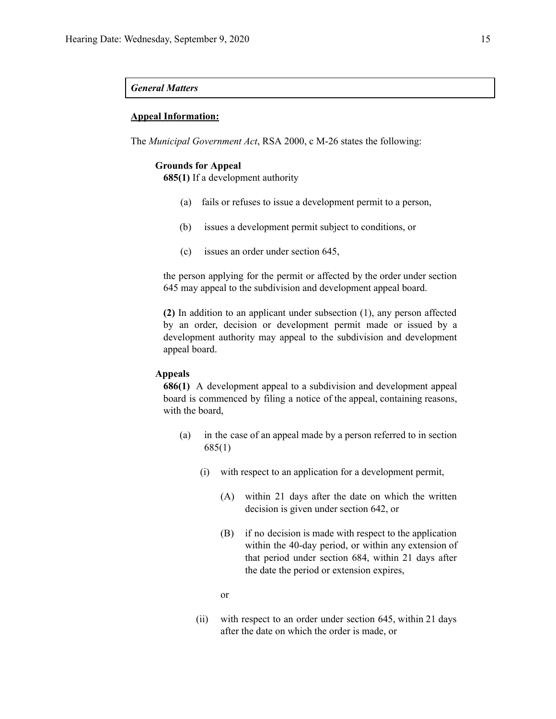#### *General Matters*

#### **Appeal Information:**

The *Municipal Government Act*, RSA 2000, c M-26 states the following:

#### **Grounds for Appeal**

**685(1)** If a development authority

- (a) fails or refuses to issue a development permit to a person,
- (b) issues a development permit subject to conditions, or
- (c) issues an order under section 645,

the person applying for the permit or affected by the order under section 645 may appeal to the subdivision and development appeal board.

**(2)** In addition to an applicant under subsection (1), any person affected by an order, decision or development permit made or issued by a development authority may appeal to the subdivision and development appeal board.

#### **Appeals**

**686(1)** A development appeal to a subdivision and development appeal board is commenced by filing a notice of the appeal, containing reasons, with the board,

- (a) in the case of an appeal made by a person referred to in section 685(1)
	- (i) with respect to an application for a development permit,
		- (A) within 21 days after the date on which the written decision is given under section 642, or
		- (B) if no decision is made with respect to the application within the 40-day period, or within any extension of that period under section 684, within 21 days after the date the period or extension expires,
		- or
	- (ii) with respect to an order under section 645, within 21 days after the date on which the order is made, or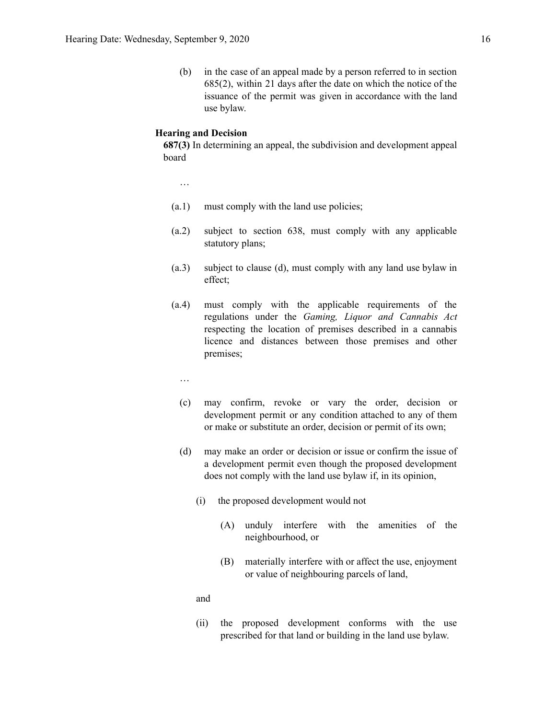(b) in the case of an appeal made by a person referred to in section 685(2), within 21 days after the date on which the notice of the issuance of the permit was given in accordance with the land use bylaw.

#### **Hearing and Decision**

**687(3)** In determining an appeal, the subdivision and development appeal board

…

- (a.1) must comply with the land use policies;
- (a.2) subject to section 638, must comply with any applicable statutory plans;
- (a.3) subject to clause (d), must comply with any land use bylaw in effect;
- (a.4) must comply with the applicable requirements of the regulations under the *Gaming, Liquor and Cannabis Act* respecting the location of premises described in a cannabis licence and distances between those premises and other premises;
	- …
	- (c) may confirm, revoke or vary the order, decision or development permit or any condition attached to any of them or make or substitute an order, decision or permit of its own;
	- (d) may make an order or decision or issue or confirm the issue of a development permit even though the proposed development does not comply with the land use bylaw if, in its opinion,
		- (i) the proposed development would not
			- (A) unduly interfere with the amenities of the neighbourhood, or
			- (B) materially interfere with or affect the use, enjoyment or value of neighbouring parcels of land,

and

(ii) the proposed development conforms with the use prescribed for that land or building in the land use bylaw.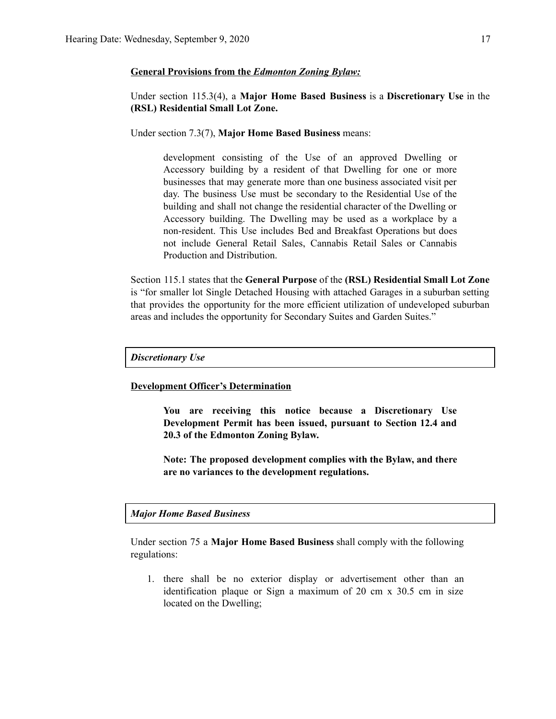#### **General Provisions from the** *Edmonton Zoning Bylaw:*

### Under section 115.3(4), a **Major Home Based Business** is a **Discretionary Use** in the **(RSL) Residential Small Lot Zone.**

Under section 7.3(7), **Major Home Based Business** means:

development consisting of the Use of an approved Dwelling or Accessory building by a resident of that Dwelling for one or more businesses that may generate more than one business associated visit per day. The business Use must be secondary to the Residential Use of the building and shall not change the residential character of the Dwelling or Accessory building. The Dwelling may be used as a workplace by a non-resident. This Use includes Bed and Breakfast Operations but does not include General Retail Sales, Cannabis Retail Sales or Cannabis Production and Distribution.

Section 115.1 states that the **General Purpose** of the **(RSL) Residential Small Lot Zone** is "for smaller lot Single Detached Housing with attached Garages in a suburban setting that provides the opportunity for the more efficient utilization of undeveloped suburban areas and includes the opportunity for Secondary Suites and Garden Suites."

#### *Discretionary Use*

#### **Development Officer's Determination**

**You are receiving this notice because a Discretionary Use Development Permit has been issued, pursuant to Section 12.4 and 20.3 of the Edmonton Zoning Bylaw.**

**Note: The proposed development complies with the Bylaw, and there are no variances to the development regulations.**

#### *Major Home Based Business*

Under section 75 a **Major Home Based Business** shall comply with the following regulations:

1. there shall be no exterior display or advertisement other than an identification plaque or Sign a maximum of 20 cm x 30.5 cm in size located on the Dwelling;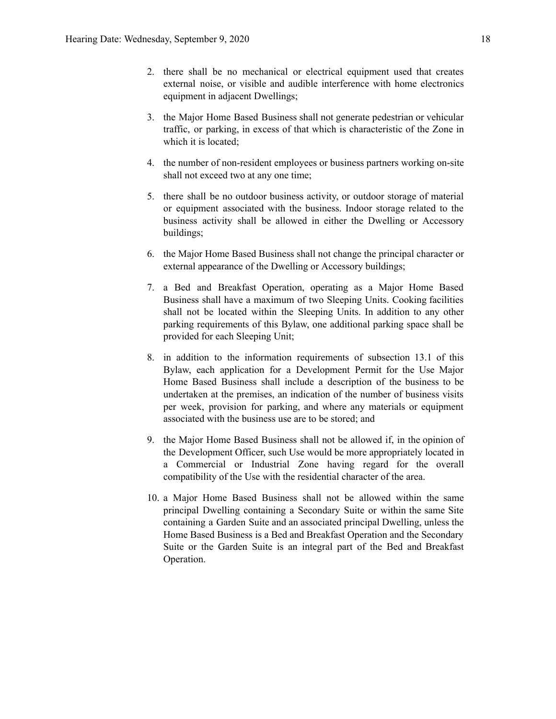- 2. there shall be no mechanical or electrical equipment used that creates external noise, or visible and audible interference with home electronics equipment in adjacent Dwellings;
- 3. the Major Home Based Business shall not generate pedestrian or vehicular traffic, or parking, in excess of that which is characteristic of the Zone in which it is located;
- 4. the number of non-resident employees or business partners working on-site shall not exceed two at any one time;
- 5. there shall be no outdoor business activity, or outdoor storage of material or equipment associated with the business. Indoor storage related to the business activity shall be allowed in either the Dwelling or Accessory buildings;
- 6. the Major Home Based Business shall not change the principal character or external appearance of the Dwelling or Accessory buildings;
- 7. a Bed and Breakfast Operation, operating as a Major Home Based Business shall have a maximum of two Sleeping Units. Cooking facilities shall not be located within the Sleeping Units. In addition to any other parking requirements of this Bylaw, one additional parking space shall be provided for each Sleeping Unit;
- 8. in addition to the information requirements of subsection 13.1 of this Bylaw, each application for a Development Permit for the Use Major Home Based Business shall include a description of the business to be undertaken at the premises, an indication of the number of business visits per week, provision for parking, and where any materials or equipment associated with the business use are to be stored; and
- 9. the Major Home Based Business shall not be allowed if, in the opinion of the Development Officer, such Use would be more appropriately located in a Commercial or Industrial Zone having regard for the overall compatibility of the Use with the residential character of the area.
- 10. a Major Home Based Business shall not be allowed within the same principal Dwelling containing a Secondary Suite or within the same Site containing a Garden Suite and an associated principal Dwelling, unless the Home Based Business is a Bed and Breakfast Operation and the Secondary Suite or the Garden Suite is an integral part of the Bed and Breakfast Operation.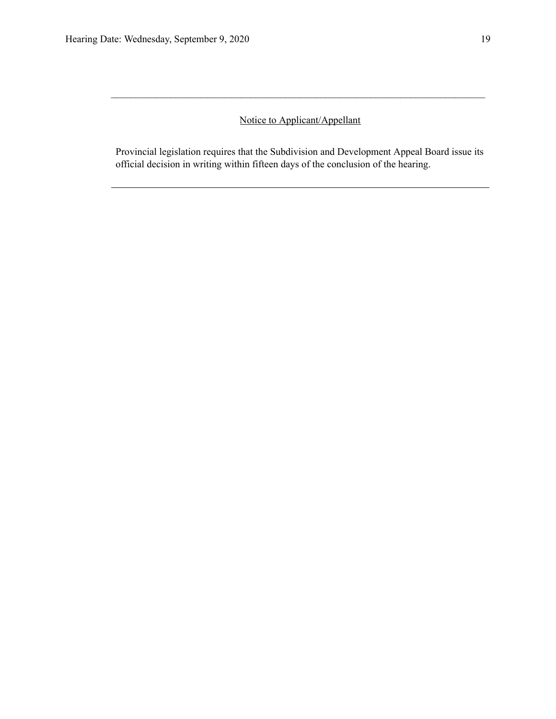## Notice to Applicant/Appellant

 $\mathcal{L}_\text{max} = \frac{1}{2} \sum_{i=1}^n \mathcal{L}_\text{max} = \frac{1}{2} \sum_{i=1}^n \mathcal{L}_\text{max} = \frac{1}{2} \sum_{i=1}^n \mathcal{L}_\text{max} = \frac{1}{2} \sum_{i=1}^n \mathcal{L}_\text{max} = \frac{1}{2} \sum_{i=1}^n \mathcal{L}_\text{max} = \frac{1}{2} \sum_{i=1}^n \mathcal{L}_\text{max} = \frac{1}{2} \sum_{i=1}^n \mathcal{L}_\text{max} = \frac{1}{2} \sum_{i=$ 

Provincial legislation requires that the Subdivision and Development Appeal Board issue its official decision in writing within fifteen days of the conclusion of the hearing.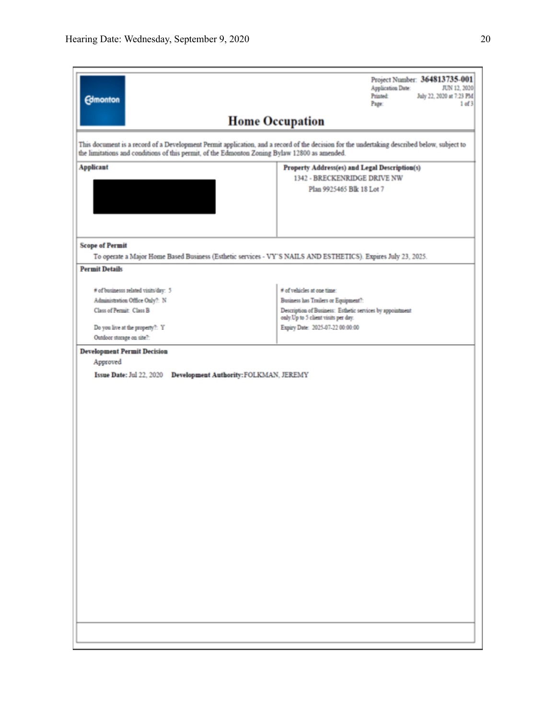| <b>Edmonton</b>                                                                                                                                                                                                                              | Project Number: 364813735-001<br>Application Date:<br>JUN 12, 2020<br><b>Printed:</b><br>July 22, 2020 at 7:23 PM<br>Page:<br>1 of 3                                                                        |  |  |  |  |  |
|----------------------------------------------------------------------------------------------------------------------------------------------------------------------------------------------------------------------------------------------|-------------------------------------------------------------------------------------------------------------------------------------------------------------------------------------------------------------|--|--|--|--|--|
| <b>Home Occupation</b>                                                                                                                                                                                                                       |                                                                                                                                                                                                             |  |  |  |  |  |
| This document is a record of a Development Permit application, and a record of the decision for the undertaking described below, subject to<br>the limitations and conditions of this permit, of the Edmonton Zoning Bylaw 12800 as amended. |                                                                                                                                                                                                             |  |  |  |  |  |
| <b>Applicant</b>                                                                                                                                                                                                                             | Property Address(es) and Legal Description(s)<br>1342 - BRECKENRIDGE DRIVE NW<br>Plan 9925465 Blk 18 Lot 7                                                                                                  |  |  |  |  |  |
| <b>Scope of Permit</b><br>To operate a Major Home Based Business (Esthetic services - VY'S NAILS AND ESTHETICS). Expires July 23, 2025.                                                                                                      |                                                                                                                                                                                                             |  |  |  |  |  |
| <b>Permit Details</b>                                                                                                                                                                                                                        |                                                                                                                                                                                                             |  |  |  |  |  |
| # of businesss related visits/day: 5<br>Administration Office Only?: N<br>Class of Permit: Class B<br>Do you live at the property?: Y<br>Outdoor storage on site?:                                                                           | # of vehicles at one time:<br>Business has Trailers or Equipment?:<br>Description of Business: Esthetic services by appointment<br>only. Up to 5 client visits per day.<br>Expiry Date: 2025-07-22 00:00:00 |  |  |  |  |  |
| Approved<br>Issue Date: Jul 22, 2020 Development Authority: FOLKMAN, JEREMY                                                                                                                                                                  |                                                                                                                                                                                                             |  |  |  |  |  |
|                                                                                                                                                                                                                                              |                                                                                                                                                                                                             |  |  |  |  |  |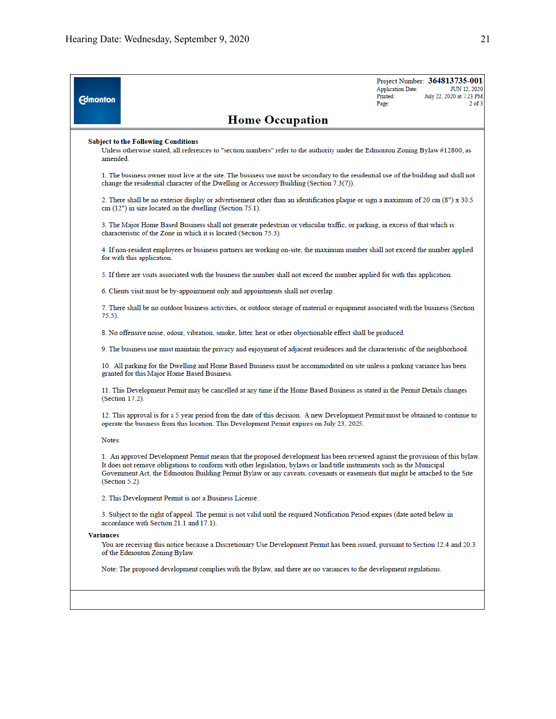| <b>Edmonton</b>  |                                                                                                                                                                                                                                                                                                                                                                                                                | <b>Application Date:</b><br>Printed:<br>Page: | Project Number: 364813735-001<br>JUN 12, 2020<br>July 22, 2020 at 7:23 PM<br>$2$ of $3$ |  |  |
|------------------|----------------------------------------------------------------------------------------------------------------------------------------------------------------------------------------------------------------------------------------------------------------------------------------------------------------------------------------------------------------------------------------------------------------|-----------------------------------------------|-----------------------------------------------------------------------------------------|--|--|
|                  | <b>Home Occupation</b>                                                                                                                                                                                                                                                                                                                                                                                         |                                               |                                                                                         |  |  |
|                  | <b>Subject to the Following Conditions</b><br>Unless otherwise stated, all references to "section numbers" refer to the authority under the Edmonton Zoning Bylaw #12800, as<br>amended.                                                                                                                                                                                                                       |                                               |                                                                                         |  |  |
|                  | 1. The business owner must live at the site. The business use must be secondary to the residential use of the building and shall not<br>change the residential character of the Dwelling or Accessory Building (Section 7.3(7)).                                                                                                                                                                               |                                               |                                                                                         |  |  |
|                  | 2. There shall be no exterior display or advertisement other than an identification plaque or sign a maximum of 20 cm (8") x 30.5<br>$cm (12")$ in size located on the dwelling (Section 75.1).                                                                                                                                                                                                                |                                               |                                                                                         |  |  |
|                  | 3. The Major Home Based Business shall not generate pedestrian or vehicular traffic, or parking, in excess of that which is<br>characteristic of the Zone in which it is located (Section 75.3).                                                                                                                                                                                                               |                                               |                                                                                         |  |  |
|                  | 4. If non-resident employees or business partners are working on-site, the maximum number shall not exceed the number applied<br>for with this application.                                                                                                                                                                                                                                                    |                                               |                                                                                         |  |  |
|                  | 5. If there are visits associated with the business the number shall not exceed the number applied for with this application.                                                                                                                                                                                                                                                                                  |                                               |                                                                                         |  |  |
|                  | 6. Clients visit must be by-appointment only and appointments shall not overlap.                                                                                                                                                                                                                                                                                                                               |                                               |                                                                                         |  |  |
|                  | 7. There shall be no outdoor business activities, or outdoor storage of material or equipment associated with the business (Section<br>75.5).                                                                                                                                                                                                                                                                  |                                               |                                                                                         |  |  |
|                  | 8. No offensive noise, odour, vibration, smoke, litter, heat or other objectionable effect shall be produced.                                                                                                                                                                                                                                                                                                  |                                               |                                                                                         |  |  |
|                  | 9. The business use must maintain the privacy and enjoyment of adjacent residences and the characteristic of the neighborhood.                                                                                                                                                                                                                                                                                 |                                               |                                                                                         |  |  |
|                  | 10. All parking for the Dwelling and Home Based Business must be accommodated on site unless a parking variance has been<br>granted for this Major Home Based Business.                                                                                                                                                                                                                                        |                                               |                                                                                         |  |  |
|                  | 11. This Development Permit may be cancelled at any time if the Home Based Business as stated in the Permit Details changes<br>(Section 17.2).                                                                                                                                                                                                                                                                 |                                               |                                                                                         |  |  |
|                  | 12. This approval is for a 5 year period from the date of this decision. A new Development Permit must be obtained to continue to<br>operate the business from this location. This Development Permit expires on July 23, 2025.                                                                                                                                                                                |                                               |                                                                                         |  |  |
|                  | Notes:                                                                                                                                                                                                                                                                                                                                                                                                         |                                               |                                                                                         |  |  |
|                  | 1. An approved Development Permit means that the proposed development has been reviewed against the provisions of this bylaw.<br>It does not remove obligations to conform with other legislation, bylaws or land title instruments such as the Municipal<br>Government Act, the Edmonton Building Permit Bylaw or any caveats, covenants or easements that might be attached to the Site<br>$(Section 5.2)$ . |                                               |                                                                                         |  |  |
|                  | 2. This Development Permit is not a Business License.                                                                                                                                                                                                                                                                                                                                                          |                                               |                                                                                         |  |  |
|                  | 3. Subject to the right of appeal. The permit is not valid until the required Notification Period expires (date noted below in<br>accordance with Section 21.1 and 17.1).                                                                                                                                                                                                                                      |                                               |                                                                                         |  |  |
| <b>Variances</b> |                                                                                                                                                                                                                                                                                                                                                                                                                |                                               |                                                                                         |  |  |
|                  | You are receiving this notice because a Discretionary Use Development Permit has been issued, pursuant to Section 12.4 and 20.3<br>of the Edmonton Zoning Bylaw.                                                                                                                                                                                                                                               |                                               |                                                                                         |  |  |
|                  | Note: The proposed development complies with the Bylaw, and there are no variances to the development regulations.                                                                                                                                                                                                                                                                                             |                                               |                                                                                         |  |  |
|                  |                                                                                                                                                                                                                                                                                                                                                                                                                |                                               |                                                                                         |  |  |
|                  |                                                                                                                                                                                                                                                                                                                                                                                                                |                                               |                                                                                         |  |  |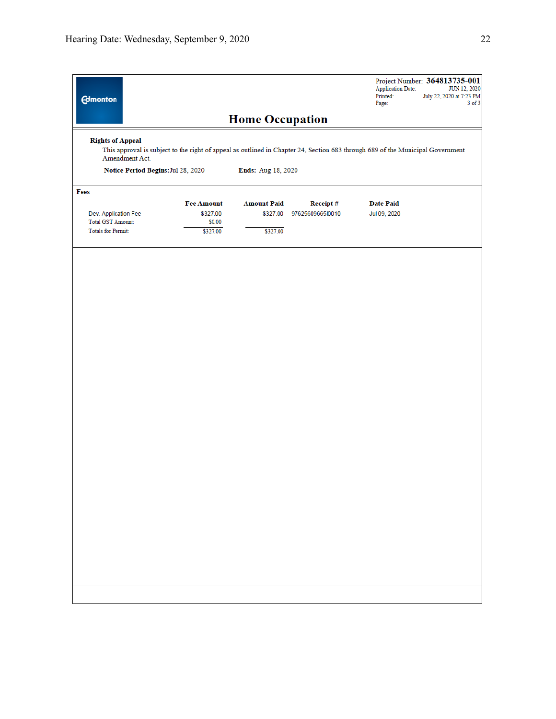| <b>Edmonton</b>                                                                                                                                                                                                                         |                    |                        |                  | <b>Application Date:</b><br>Printed:<br>Page: | Project Number: 364813735-001<br>JUN 12, 2020<br>July 22, 2020 at 7:23 PM<br>$3$ of $3$ |
|-----------------------------------------------------------------------------------------------------------------------------------------------------------------------------------------------------------------------------------------|--------------------|------------------------|------------------|-----------------------------------------------|-----------------------------------------------------------------------------------------|
|                                                                                                                                                                                                                                         |                    | <b>Home Occupation</b> |                  |                                               |                                                                                         |
| <b>Rights of Appeal</b><br>This approval is subject to the right of appeal as outlined in Chapter 24, Section 683 through 689 of the Municipal Government<br>Amendment Act.<br>Notice Period Begins: Jul 28, 2020<br>Ends: Aug 18, 2020 |                    |                        |                  |                                               |                                                                                         |
| Fees                                                                                                                                                                                                                                    |                    |                        |                  |                                               |                                                                                         |
|                                                                                                                                                                                                                                         | <b>Fee Amount</b>  | <b>Amount Paid</b>     | Receipt#         | <b>Date Paid</b>                              |                                                                                         |
| Dev. Application Fee                                                                                                                                                                                                                    | \$327.00           | \$327.00               | 9762560966510010 | Jul 09, 2020                                  |                                                                                         |
| <b>Total GST Amount:</b><br><b>Totals for Permit:</b>                                                                                                                                                                                   | \$0.00<br>\$327.00 | \$327.00               |                  |                                               |                                                                                         |
|                                                                                                                                                                                                                                         |                    |                        |                  |                                               |                                                                                         |
|                                                                                                                                                                                                                                         |                    |                        |                  |                                               |                                                                                         |
|                                                                                                                                                                                                                                         |                    |                        |                  |                                               |                                                                                         |
|                                                                                                                                                                                                                                         |                    |                        |                  |                                               |                                                                                         |
|                                                                                                                                                                                                                                         |                    |                        |                  |                                               |                                                                                         |
|                                                                                                                                                                                                                                         |                    |                        |                  |                                               |                                                                                         |
|                                                                                                                                                                                                                                         |                    |                        |                  |                                               |                                                                                         |
|                                                                                                                                                                                                                                         |                    |                        |                  |                                               |                                                                                         |
|                                                                                                                                                                                                                                         |                    |                        |                  |                                               |                                                                                         |
|                                                                                                                                                                                                                                         |                    |                        |                  |                                               |                                                                                         |
|                                                                                                                                                                                                                                         |                    |                        |                  |                                               |                                                                                         |
|                                                                                                                                                                                                                                         |                    |                        |                  |                                               |                                                                                         |
|                                                                                                                                                                                                                                         |                    |                        |                  |                                               |                                                                                         |
|                                                                                                                                                                                                                                         |                    |                        |                  |                                               |                                                                                         |
|                                                                                                                                                                                                                                         |                    |                        |                  |                                               |                                                                                         |
|                                                                                                                                                                                                                                         |                    |                        |                  |                                               |                                                                                         |
|                                                                                                                                                                                                                                         |                    |                        |                  |                                               |                                                                                         |
|                                                                                                                                                                                                                                         |                    |                        |                  |                                               |                                                                                         |
|                                                                                                                                                                                                                                         |                    |                        |                  |                                               |                                                                                         |
|                                                                                                                                                                                                                                         |                    |                        |                  |                                               |                                                                                         |
|                                                                                                                                                                                                                                         |                    |                        |                  |                                               |                                                                                         |
|                                                                                                                                                                                                                                         |                    |                        |                  |                                               |                                                                                         |